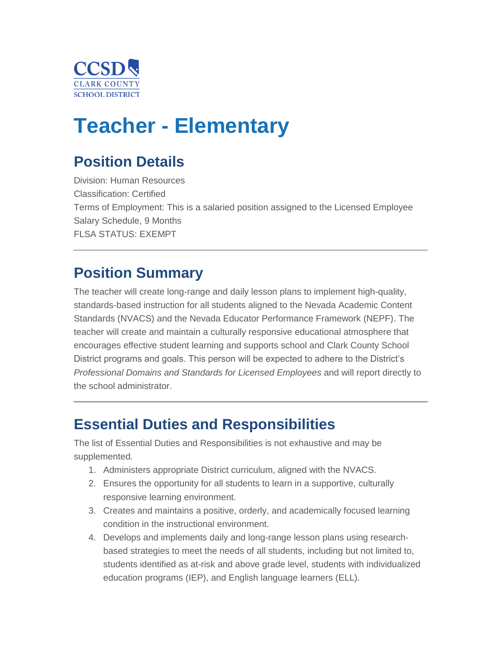

# **Teacher - Elementary**

## **Position Details**

Division: Human Resources Classification: Certified Terms of Employment: This is a salaried position assigned to the Licensed Employee Salary Schedule, 9 Months FLSA STATUS: EXEMPT

## **Position Summary**

The teacher will create long-range and daily lesson plans to implement high-quality, standards-based instruction for all students aligned to the Nevada Academic Content Standards (NVACS) and the Nevada Educator Performance Framework (NEPF). The teacher will create and maintain a culturally responsive educational atmosphere that encourages effective student learning and supports school and Clark County School District programs and goals. This person will be expected to adhere to the District's *Professional Domains and Standards for Licensed Employees* and will report directly to the school administrator.

#### **Essential Duties and Responsibilities**

The list of Essential Duties and Responsibilities is not exhaustive and may be supplemented.

- 1. Administers appropriate District curriculum, aligned with the NVACS.
- 2. Ensures the opportunity for all students to learn in a supportive, culturally responsive learning environment.
- 3. Creates and maintains a positive, orderly, and academically focused learning condition in the instructional environment.
- 4. Develops and implements daily and long-range lesson plans using researchbased strategies to meet the needs of all students, including but not limited to, students identified as at-risk and above grade level, students with individualized education programs (IEP), and English language learners (ELL).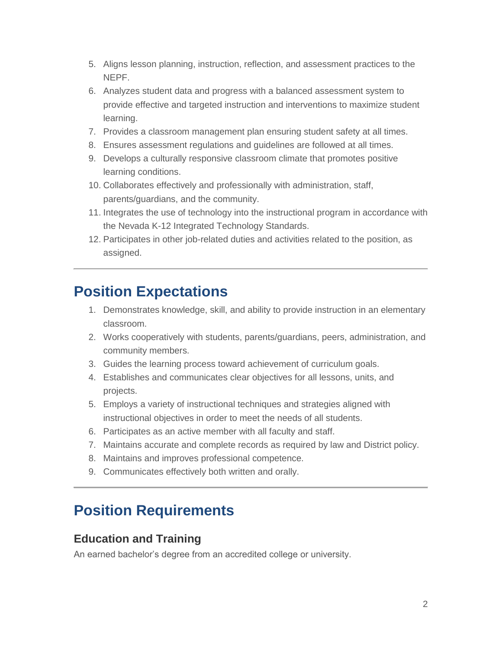- 5. Aligns lesson planning, instruction, reflection, and assessment practices to the NEPF.
- 6. Analyzes student data and progress with a balanced assessment system to provide effective and targeted instruction and interventions to maximize student learning.
- 7. Provides a classroom management plan ensuring student safety at all times.
- 8. Ensures assessment regulations and guidelines are followed at all times.
- 9. Develops a culturally responsive classroom climate that promotes positive learning conditions.
- 10. Collaborates effectively and professionally with administration, staff, parents/guardians, and the community.
- 11. Integrates the use of technology into the instructional program in accordance with the Nevada K-12 Integrated Technology Standards.
- 12. Participates in other job-related duties and activities related to the position, as assigned.

### **Position Expectations**

- 1. Demonstrates knowledge, skill, and ability to provide instruction in an elementary classroom.
- 2. Works cooperatively with students, parents/guardians, peers, administration, and community members.
- 3. Guides the learning process toward achievement of curriculum goals.
- 4. Establishes and communicates clear objectives for all lessons, units, and projects.
- 5. Employs a variety of instructional techniques and strategies aligned with instructional objectives in order to meet the needs of all students.
- 6. Participates as an active member with all faculty and staff.
- 7. Maintains accurate and complete records as required by law and District policy.
- 8. Maintains and improves professional competence.
- 9. Communicates effectively both written and orally.

## **Position Requirements**

#### **Education and Training**

An earned bachelor's degree from an accredited college or university.